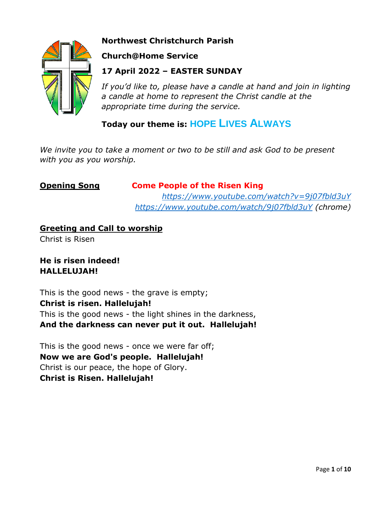

# **Northwest Christchurch Parish**

# **Church@Home Service**

# **17 April 2022 – EASTER SUNDAY**

*If you'd like to, please have a candle at hand and join in lighting a candle at home to represent the Christ candle at the appropriate time during the service.*

# **Today our theme is: HOPE LIVES ALWAYS**

*We invite you to take a moment or two to be still and ask God to be present with you as you worship.*

# **Opening Song Come People of the Risen King**

*<https://www.youtube.com/watch?v=9j07fbld3uY> <https://www.youtube.com/watch/9j07fbld3uY> (chrome)*

# **Greeting and Call to worship**

Christ is Risen

# **He is risen indeed! HALLELUJAH!**

This is the good news - the grave is empty; **Christ is risen. Hallelujah!** This is the good news - the light shines in the darkness, **And the darkness can never put it out. Hallelujah!**

This is the good news - once we were far off; **Now we are God's people. Hallelujah!** Christ is our peace, the hope of Glory. **Christ is Risen. Hallelujah!**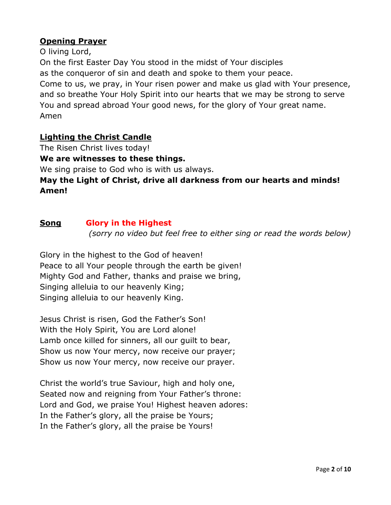# **Opening Prayer**

O living Lord,

On the first Easter Day You stood in the midst of Your disciples

as the conqueror of sin and death and spoke to them your peace.

Come to us, we pray, in Your risen power and make us glad with Your presence, and so breathe Your Holy Spirit into our hearts that we may be strong to serve You and spread abroad Your good news, for the glory of Your great name. Amen

# **Lighting the Christ Candle**

The Risen Christ lives today!

**We are witnesses to these things.**

We sing praise to God who is with us always.

# **May the Light of Christ, drive all darkness from our hearts and minds! Amen!**

### **Song Glory in the Highest**

*(sorry no video but feel free to either sing or read the words below)*

Glory in the highest to the God of heaven! Peace to all Your people through the earth be given! Mighty God and Father, thanks and praise we bring, Singing alleluia to our heavenly King; Singing alleluia to our heavenly King.

Jesus Christ is risen, God the Father's Son! With the Holy Spirit, You are Lord alone! Lamb once killed for sinners, all our guilt to bear, Show us now Your mercy, now receive our prayer; Show us now Your mercy, now receive our prayer.

Christ the world's true Saviour, high and holy one, Seated now and reigning from Your Father's throne: Lord and God, we praise You! Highest heaven adores: In the Father's glory, all the praise be Yours; In the Father's glory, all the praise be Yours!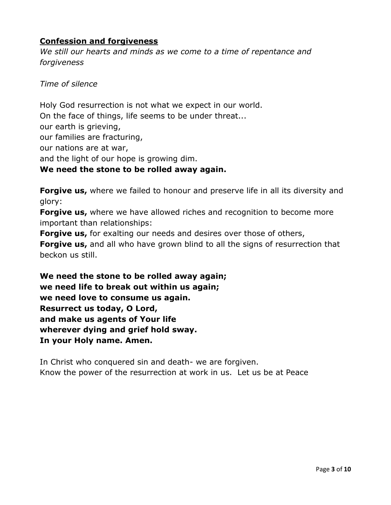# **Confession and forgiveness**

*We still our hearts and minds as we come to a time of repentance and forgiveness*

*Time of silence*

Holy God resurrection is not what we expect in our world. On the face of things, life seems to be under threat... our earth is grieving, our families are fracturing, our nations are at war, and the light of our hope is growing dim. **We need the stone to be rolled away again.**

**Forgive us,** where we failed to honour and preserve life in all its diversity and glory:

**Forgive us,** where we have allowed riches and recognition to become more important than relationships:

**Forgive us,** for exalting our needs and desires over those of others,

**Forgive us,** and all who have grown blind to all the signs of resurrection that beckon us still.

**We need the stone to be rolled away again; we need life to break out within us again; we need love to consume us again. Resurrect us today, O Lord, and make us agents of Your life wherever dying and grief hold sway. In your Holy name. Amen.**

In Christ who conquered sin and death- we are forgiven. Know the power of the resurrection at work in us. Let us be at Peace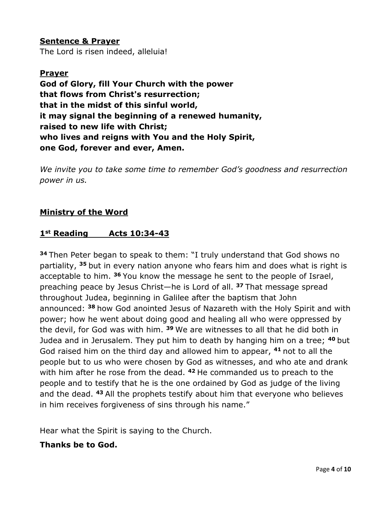**Sentence & Prayer** The Lord is risen indeed, alleluia!

## **Prayer**

**God of Glory, fill Your Church with the power that flows from Christ's resurrection; that in the midst of this sinful world, it may signal the beginning of a renewed humanity, raised to new life with Christ; who lives and reigns with You and the Holy Spirit, one God, forever and ever, Amen.**

*We invite you to take some time to remember God's goodness and resurrection power in us.* 

### **Ministry of the Word**

#### **1st Reading Acts 10:34-43**

**<sup>34</sup>** Then Peter began to speak to them: "I truly understand that God shows no partiality, **<sup>35</sup>** but in every nation anyone who fears him and does what is right is acceptable to him. **<sup>36</sup>** You know the message he sent to the people of Israel, preaching peace by Jesus Christ—he is Lord of all. **<sup>37</sup>** That message spread throughout Judea, beginning in Galilee after the baptism that John announced: **<sup>38</sup>** how God anointed Jesus of Nazareth with the Holy Spirit and with power; how he went about doing good and healing all who were oppressed by the devil, for God was with him. **<sup>39</sup>** We are witnesses to all that he did both in Judea and in Jerusalem. They put him to death by hanging him on a tree; **<sup>40</sup>** but God raised him on the third day and allowed him to appear, **<sup>41</sup>** not to all the people but to us who were chosen by God as witnesses, and who ate and drank with him after he rose from the dead. **<sup>42</sup>** He commanded us to preach to the people and to testify that he is the one ordained by God as judge of the living and the dead. **<sup>43</sup>** All the prophets testify about him that everyone who believes in him receives forgiveness of sins through his name."

Hear what the Spirit is saying to the Church.

### **Thanks be to God.**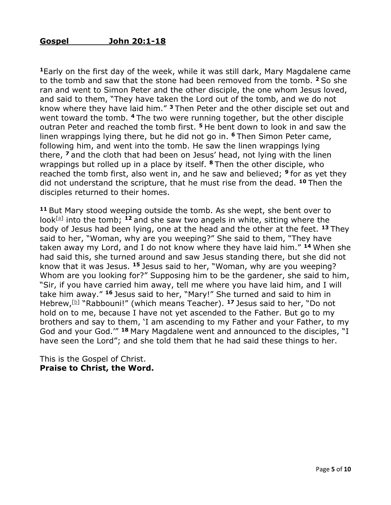**<sup>1</sup>**Early on the first day of the week, while it was still dark, Mary Magdalene came to the tomb and saw that the stone had been removed from the tomb. **<sup>2</sup>** So she ran and went to Simon Peter and the other disciple, the one whom Jesus loved, and said to them, "They have taken the Lord out of the tomb, and we do not know where they have laid him." **<sup>3</sup>** Then Peter and the other disciple set out and went toward the tomb. **<sup>4</sup>** The two were running together, but the other disciple outran Peter and reached the tomb first. **<sup>5</sup>** He bent down to look in and saw the linen wrappings lying there, but he did not go in. **<sup>6</sup>** Then Simon Peter came, following him, and went into the tomb. He saw the linen wrappings lying there, **<sup>7</sup>** and the cloth that had been on Jesus' head, not lying with the linen wrappings but rolled up in a place by itself. **<sup>8</sup>** Then the other disciple, who reached the tomb first, also went in, and he saw and believed; **<sup>9</sup>** for as yet they did not understand the scripture, that he must rise from the dead. **<sup>10</sup>** Then the disciples returned to their homes.

**<sup>11</sup>** But Mary stood weeping outside the tomb. As she wept, she bent over to look<sup>[\[a\]](https://www.biblegateway.com/passage/?search=john+20&version=NRSV#fen-NRSV-26868a)</sup> into the tomb; <sup>12</sup> and she saw two angels in white, sitting where the body of Jesus had been lying, one at the head and the other at the feet. **<sup>13</sup>** They said to her, "Woman, why are you weeping?" She said to them, "They have taken away my Lord, and I do not know where they have laid him." **<sup>14</sup>** When she had said this, she turned around and saw Jesus standing there, but she did not know that it was Jesus. **<sup>15</sup>** Jesus said to her, "Woman, why are you weeping? Whom are you looking for?" Supposing him to be the gardener, she said to him, "Sir, if you have carried him away, tell me where you have laid him, and I will take him away." **<sup>16</sup>** Jesus said to her, "Mary!" She turned and said to him in Hebrew,[\[b\]](https://www.biblegateway.com/passage/?search=john+20&version=NRSV#fen-NRSV-26873b) "Rabbouni!" (which means Teacher). **<sup>17</sup>** Jesus said to her, "Do not hold on to me, because I have not yet ascended to the Father. But go to my brothers and say to them, 'I am ascending to my Father and your Father, to my God and your God.'" **<sup>18</sup>** Mary Magdalene went and announced to the disciples, "I have seen the Lord"; and she told them that he had said these things to her.

This is the Gospel of Christ. **Praise to Christ, the Word.**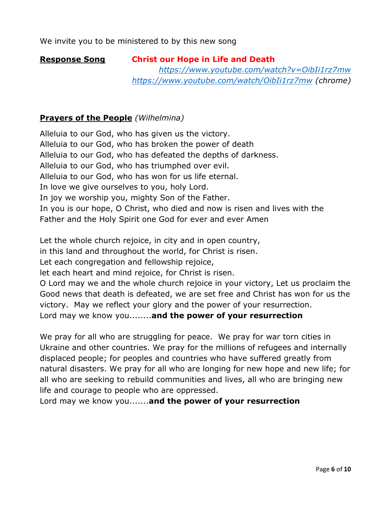#### **Response Song Christ our Hope in Life and Death**

*<https://www.youtube.com/watch?v=OibIi1rz7mw> <https://www.youtube.com/watch/OibIi1rz7mw> (chrome)*

## **Prayers of the People** *(Wilhelmina)*

Alleluia to our God, who has given us the victory. Alleluia to our God, who has broken the power of death Alleluia to our God, who has defeated the depths of darkness. Alleluia to our God, who has triumphed over evil. Alleluia to our God, who has won for us life eternal. In love we give ourselves to you, holy Lord. In joy we worship you, mighty Son of the Father. In you is our hope, O Christ, who died and now is risen and lives with the Father and the Holy Spirit one God for ever and ever Amen

Let the whole church rejoice, in city and in open country,

in this land and throughout the world, for Christ is risen.

Let each congregation and fellowship rejoice,

let each heart and mind rejoice, for Christ is risen.

O Lord may we and the whole church rejoice in your victory, Let us proclaim the Good news that death is defeated, we are set free and Christ has won for us the victory. May we reflect your glory and the power of your resurrection.

Lord may we know you........**and the power of your resurrection**

We pray for all who are struggling for peace. We pray for war torn cities in Ukraine and other countries. We pray for the millions of refugees and internally displaced people; for peoples and countries who have suffered greatly from natural disasters. We pray for all who are longing for new hope and new life; for all who are seeking to rebuild communities and lives, all who are bringing new life and courage to people who are oppressed.

Lord may we know you.......**and the power of your resurrection**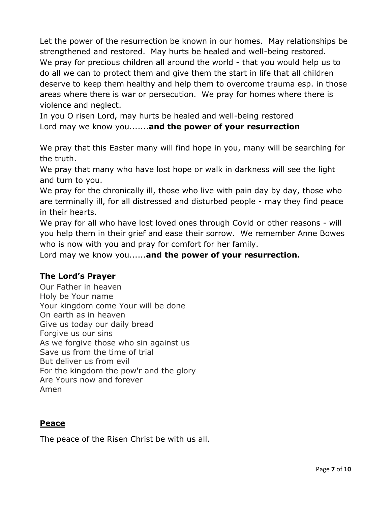Let the power of the resurrection be known in our homes. May relationships be strengthened and restored. May hurts be healed and well-being restored. We pray for precious children all around the world - that you would help us to do all we can to protect them and give them the start in life that all children deserve to keep them healthy and help them to overcome trauma esp. in those areas where there is war or persecution. We pray for homes where there is violence and neglect.

In you O risen Lord, may hurts be healed and well-being restored Lord may we know you.......**and the power of your resurrection**

We pray that this Easter many will find hope in you, many will be searching for the truth.

We pray that many who have lost hope or walk in darkness will see the light and turn to you.

We pray for the chronically ill, those who live with pain day by day, those who are terminally ill, for all distressed and disturbed people - may they find peace in their hearts.

We pray for all who have lost loved ones through Covid or other reasons - will you help them in their grief and ease their sorrow. We remember Anne Bowes who is now with you and pray for comfort for her family.

Lord may we know you......**and the power of your resurrection.**

### **The Lord's Prayer**

Our Father in heaven Holy be Your name Your kingdom come Your will be done On earth as in heaven Give us today our daily bread Forgive us our sins As we forgive those who sin against us Save us from the time of trial But deliver us from evil For the kingdom the pow'r and the glory Are Yours now and forever Amen

### **Peace**

The peace of the Risen Christ be with us all.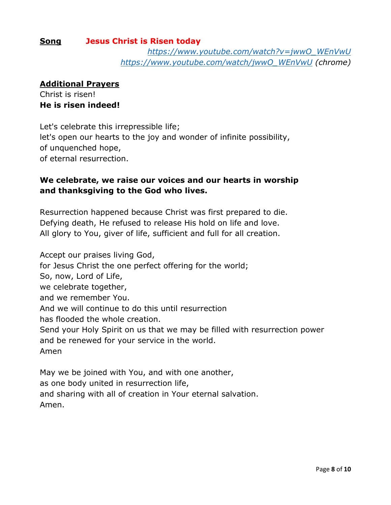#### **Song Jesus Christ is Risen today**

*[https://www.youtube.com/watch?v=jwwO\\_WEnVwU](https://www.youtube.com/watch?v=jwwO_WEnVwU) [https://www.youtube.com/watch/jwwO\\_WEnVwU](https://www.youtube.com/watch/jwwO_WEnVwU) (chrome)*

#### **Additional Prayers**

Christ is risen! **He is risen indeed!**

Let's celebrate this irrepressible life; let's open our hearts to the joy and wonder of infinite possibility, of unquenched hope, of eternal resurrection.

## **We celebrate, we raise our voices and our hearts in worship and thanksgiving to the God who lives.**

Resurrection happened because Christ was first prepared to die. Defying death, He refused to release His hold on life and love. All glory to You, giver of life, sufficient and full for all creation.

Accept our praises living God, for Jesus Christ the one perfect offering for the world; So, now, Lord of Life, we celebrate together, and we remember You. And we will continue to do this until resurrection has flooded the whole creation. Send your Holy Spirit on us that we may be filled with resurrection power and be renewed for your service in the world. Amen

May we be joined with You, and with one another, as one body united in resurrection life, and sharing with all of creation in Your eternal salvation. Amen.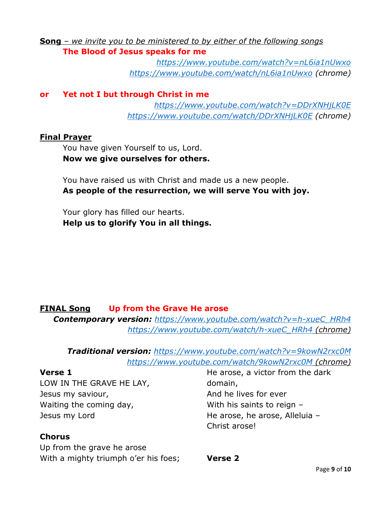**Song** *– we invite you to be ministered to by either of the following songs* **The Blood of Jesus speaks for me** 

> *<https://www.youtube.com/watch?v=nL6ia1nUwxo> <https://www.youtube.com/watch/nL6ia1nUwxo> (chrome)*

#### **or Yet not I but through Christ in me**

*<https://www.youtube.com/watch?v=DDrXNHjLK0E> <https://www.youtube.com/watch/DDrXNHjLK0E> (chrome)*

#### **Final Prayer**

You have given Yourself to us, Lord. **Now we give ourselves for others.**

You have raised us with Christ and made us a new people. **As people of the resurrection, we will serve You with joy.**

Your glory has filled our hearts. **Help us to glorify You in all things.**

### **FINAL Song Up from the Grave He arose**

*Contemporary version: [https://www.youtube.com/watch?v=h-xueC\\_HRh4](https://www.youtube.com/watch?v=h-xueC_HRh4) [https://www.youtube.com/watch/h-xueC\\_HRh4](https://www.youtube.com/watch/h-xueC_HRh4) (chrome)*

*Traditional version: <https://www.youtube.com/watch?v=9kowN2rxc0M> <https://www.youtube.com/watch/9kowN2rxc0M> (chrome)*

#### **Verse 1**

LOW IN THE GRAVE HE LAY, Jesus my saviour, Waiting the coming day, Jesus my Lord

### **Chorus**

Up from the grave he arose With a mighty triumph o'er his foes;

He arose, a victor from the dark domain, And he lives for ever With his saints to reign – He arose, he arose, Alleluia – Christ arose!

#### **Verse 2**